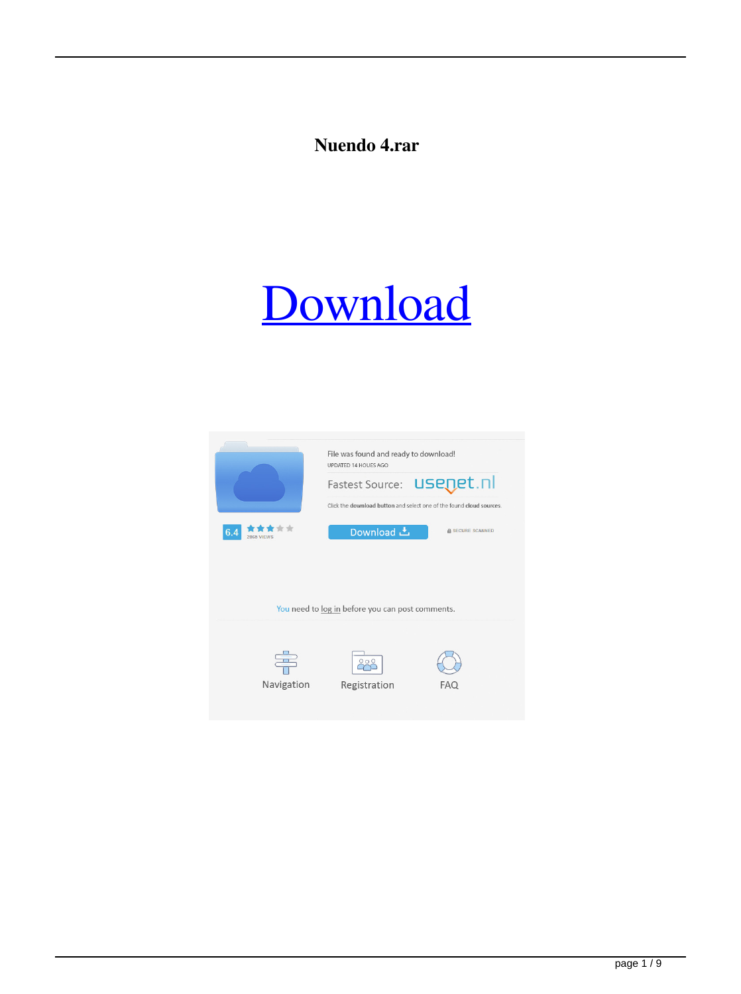#### **Nuendo 4.rar**

#### [Download](http://evacdir.com/bnVlbmRvIDQucmFybnV/adjusting/mavia/ctreatment/jennewein.ZG93bmxvYWR8QmY3TW5OclozeDhNVFkxTWpjME1EZzJObng4TWpVM05IeDhLRTBwSUhKbFlXUXRZbXh2WnlCYlJtRnpkQ0JIUlU1ZA.meteors/)

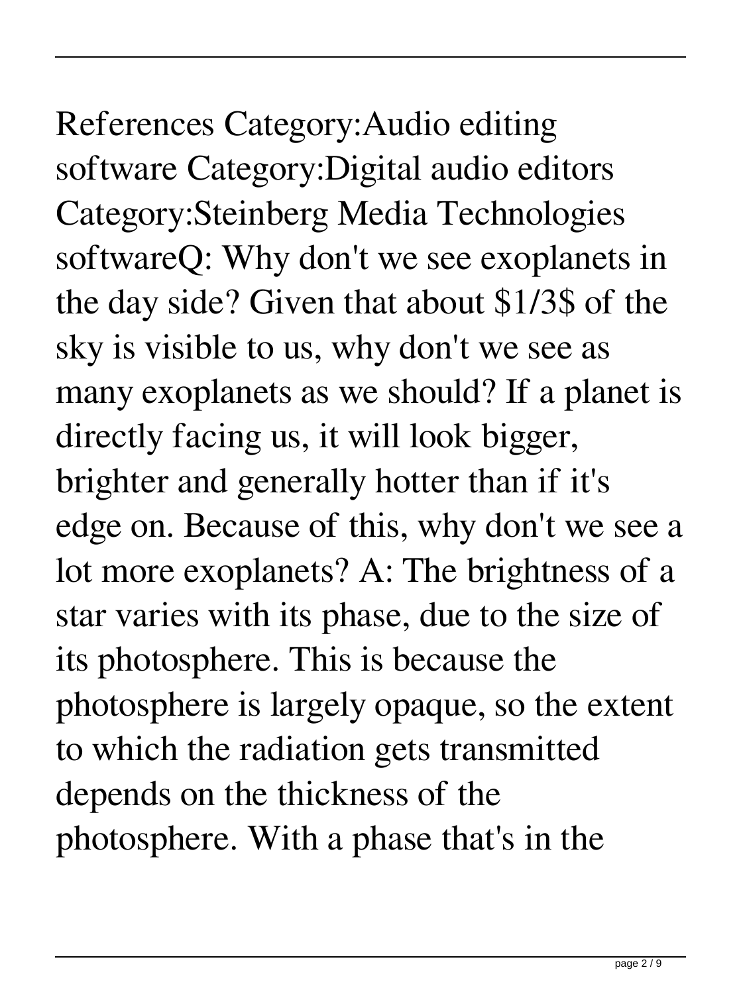### References Category:Audio editing

software Category:Digital audio editors Category:Steinberg Media Technologies softwareQ: Why don't we see exoplanets in the day side? Given that about \$1/3\$ of the sky is visible to us, why don't we see as many exoplanets as we should? If a planet is directly facing us, it will look bigger, brighter and generally hotter than if it's edge on. Because of this, why don't we see a lot more exoplanets? A: The brightness of a star varies with its phase, due to the size of its photosphere. This is because the photosphere is largely opaque, so the extent to which the radiation gets transmitted depends on the thickness of the photosphere. With a phase that's in the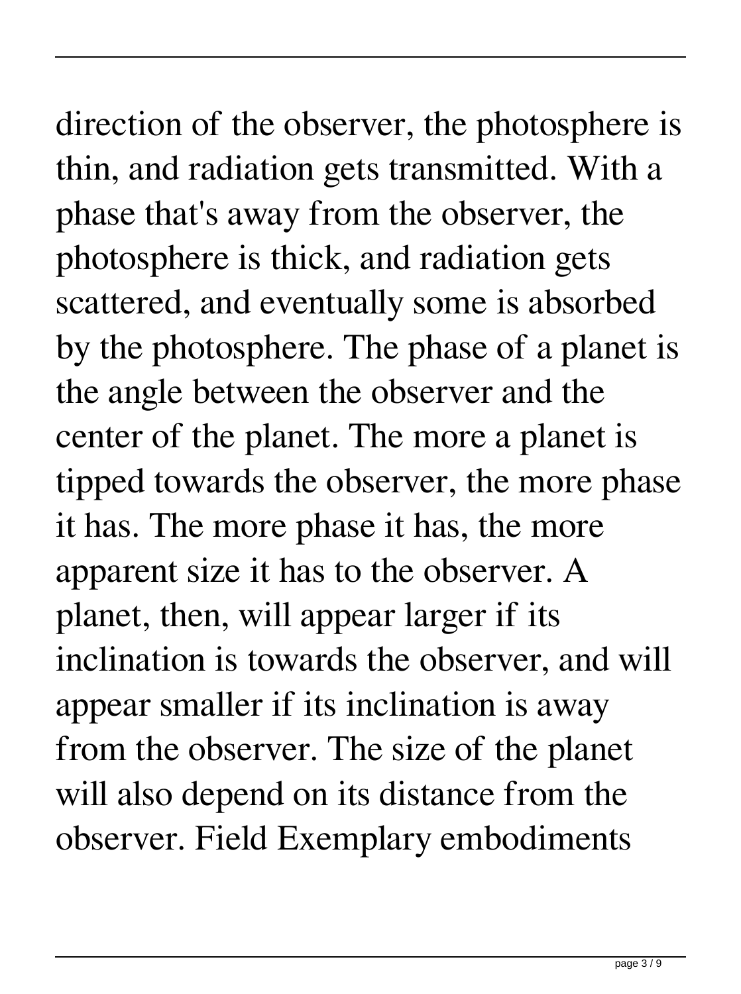# direction of the observer, the photosphere is

thin, and radiation gets transmitted. With a phase that's away from the observer, the photosphere is thick, and radiation gets scattered, and eventually some is absorbed by the photosphere. The phase of a planet is the angle between the observer and the center of the planet. The more a planet is tipped towards the observer, the more phase it has. The more phase it has, the more apparent size it has to the observer. A planet, then, will appear larger if its inclination is towards the observer, and will appear smaller if its inclination is away from the observer. The size of the planet will also depend on its distance from the observer. Field Exemplary embodiments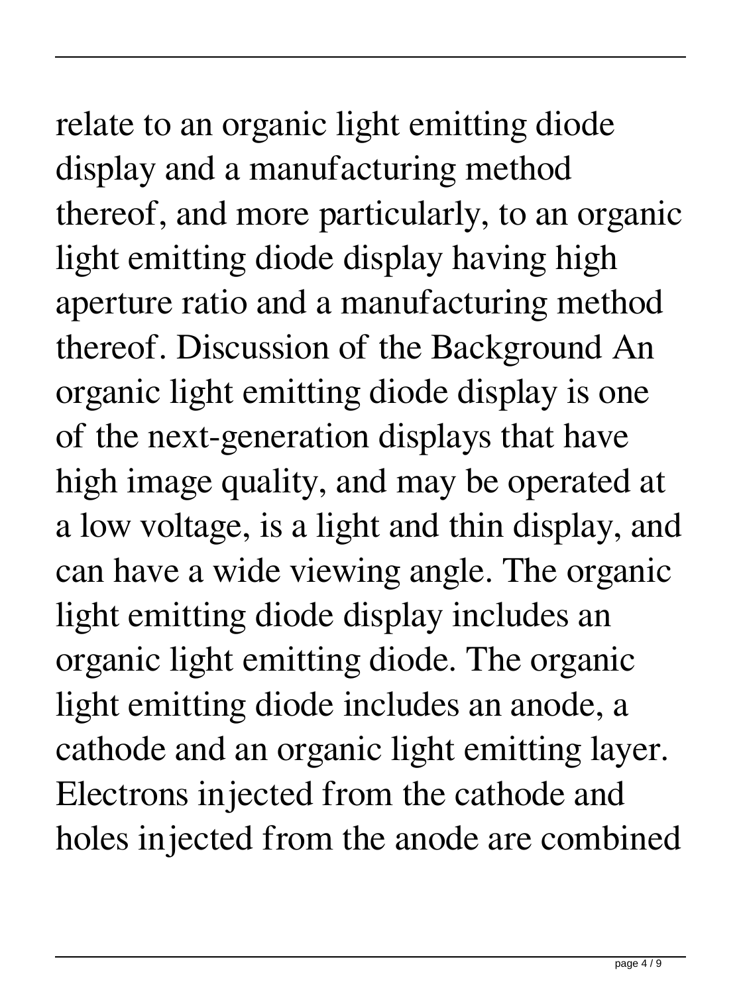### relate to an organic light emitting diode

display and a manufacturing method thereof, and more particularly, to an organic light emitting diode display having high aperture ratio and a manufacturing method thereof. Discussion of the Background An organic light emitting diode display is one of the next-generation displays that have high image quality, and may be operated at a low voltage, is a light and thin display, and can have a wide viewing angle. The organic light emitting diode display includes an organic light emitting diode. The organic light emitting diode includes an anode, a cathode and an organic light emitting layer. Electrons injected from the cathode and holes injected from the anode are combined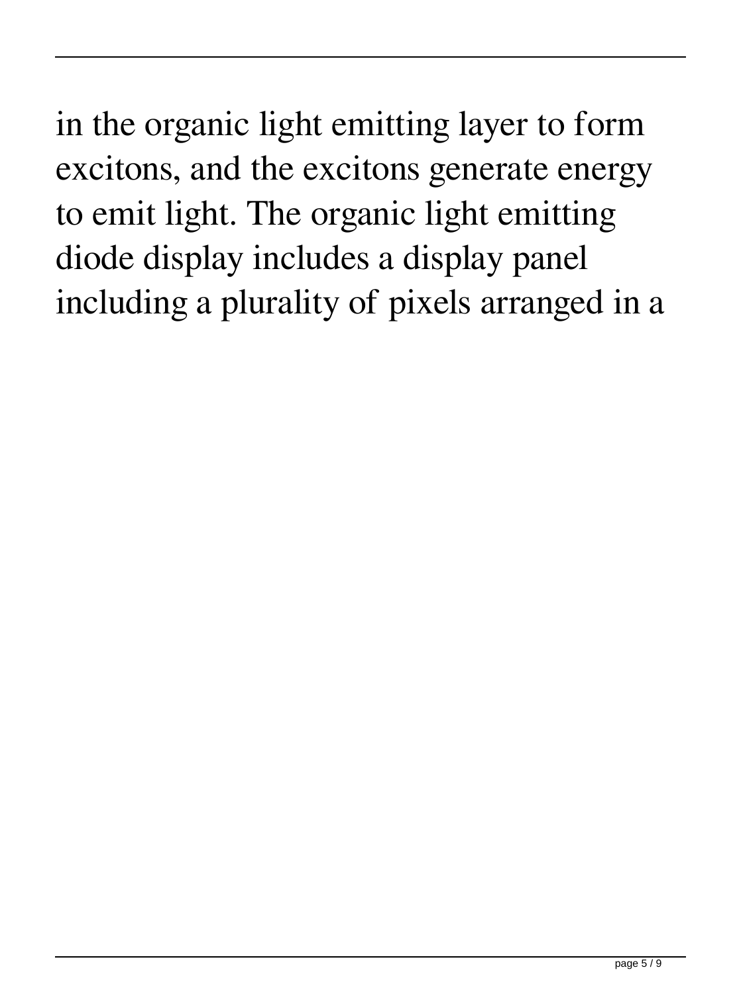in the organic light emitting layer to form excitons, and the excitons generate energy to emit light. The organic light emitting diode display includes a display panel including a plurality of pixels arranged in a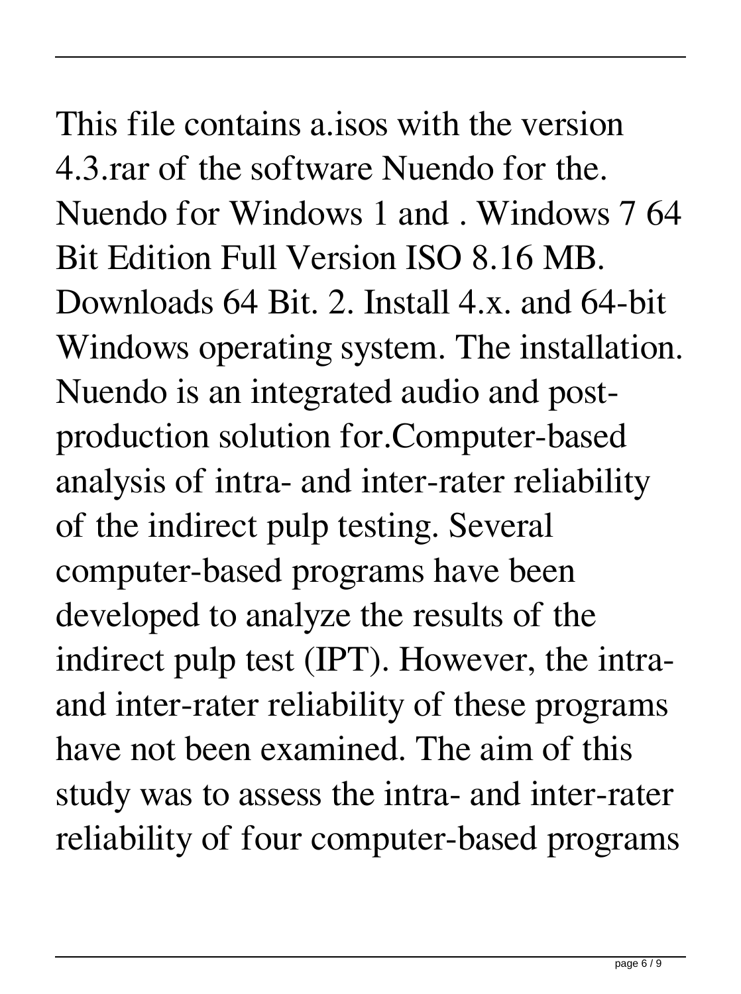#### This file contains a.isos with the version 4.3.rar of the software Nuendo for the. Nuendo for Windows 1 and . Windows 7 64 Bit Edition Full Version ISO 8.16 MB. Downloads 64 Bit. 2. Install 4.x. and 64-bit Windows operating system. The installation. Nuendo is an integrated audio and postproduction solution for.Computer-based analysis of intra- and inter-rater reliability of the indirect pulp testing. Several computer-based programs have been

developed to analyze the results of the indirect pulp test (IPT). However, the intraand inter-rater reliability of these programs have not been examined. The aim of this study was to assess the intra- and inter-rater reliability of four computer-based programs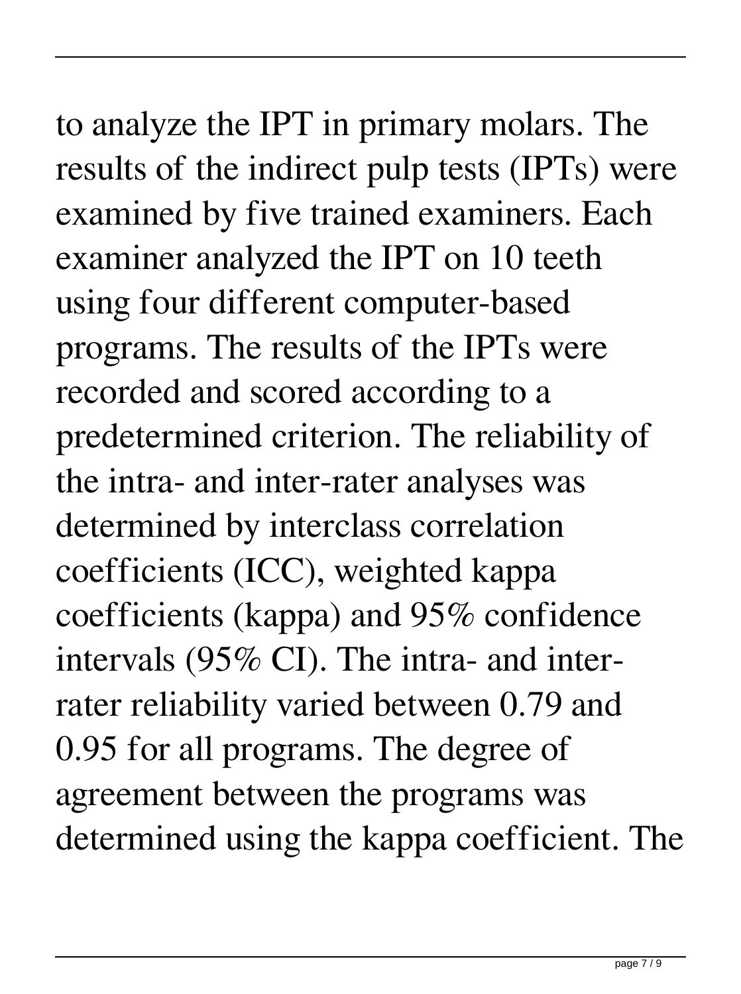## to analyze the IPT in primary molars. The

results of the indirect pulp tests (IPTs) were examined by five trained examiners. Each examiner analyzed the IPT on 10 teeth using four different computer-based programs. The results of the IPTs were recorded and scored according to a predetermined criterion. The reliability of the intra- and inter-rater analyses was determined by interclass correlation coefficients (ICC), weighted kappa coefficients (kappa) and 95% confidence intervals (95% CI). The intra- and interrater reliability varied between 0.79 and 0.95 for all programs. The degree of agreement between the programs was determined using the kappa coefficient. The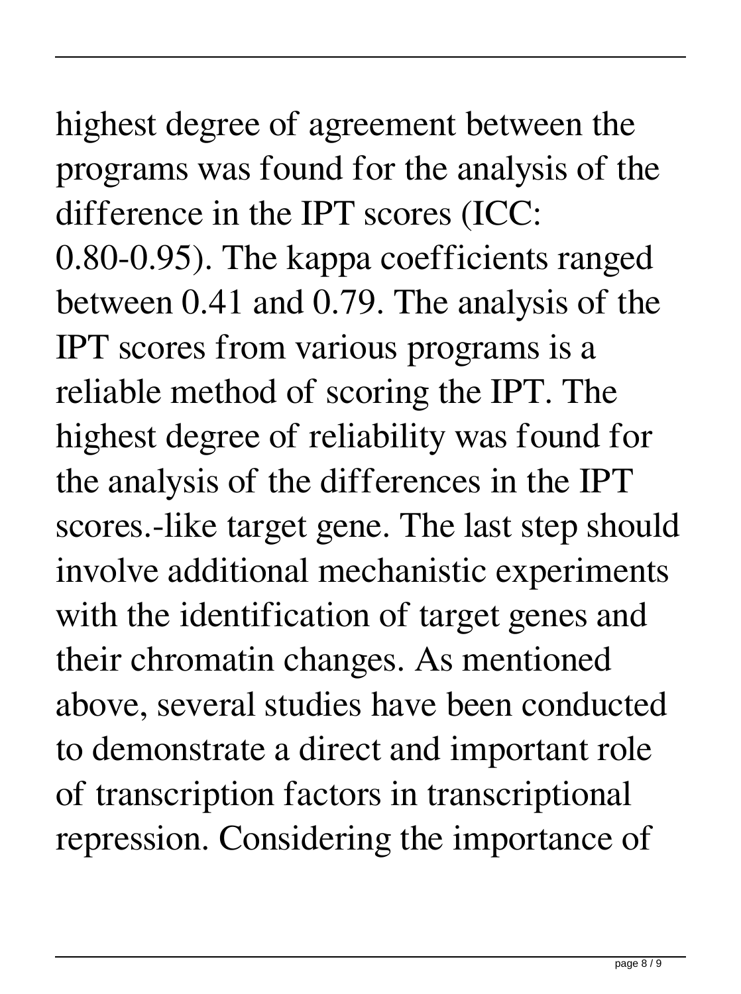#### highest degree of agreement between the programs was found for the analysis of the difference in the IPT scores (ICC:

0.80-0.95). The kappa coefficients ranged between 0.41 and 0.79. The analysis of the IPT scores from various programs is a reliable method of scoring the IPT. The highest degree of reliability was found for the analysis of the differences in the IPT scores.-like target gene. The last step should involve additional mechanistic experiments with the identification of target genes and their chromatin changes. As mentioned above, several studies have been conducted to demonstrate a direct and important role of transcription factors in transcriptional repression. Considering the importance of